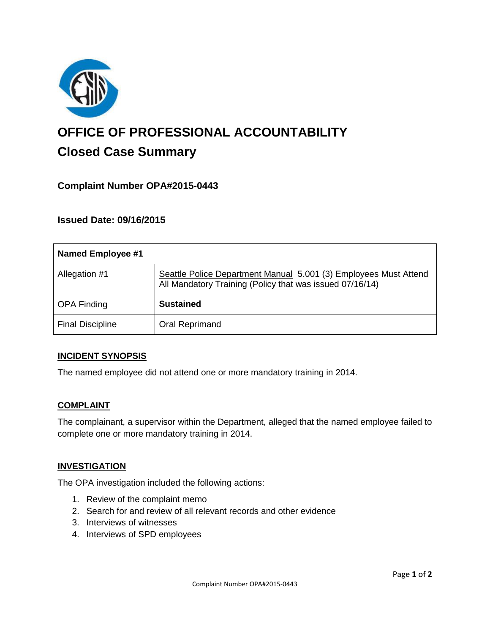

# **OFFICE OF PROFESSIONAL ACCOUNTABILITY Closed Case Summary**

# **Complaint Number OPA#2015-0443**

## **Issued Date: 09/16/2015**

| <b>Named Employee #1</b> |                                                                                                                              |
|--------------------------|------------------------------------------------------------------------------------------------------------------------------|
| Allegation #1            | Seattle Police Department Manual 5.001 (3) Employees Must Attend<br>All Mandatory Training (Policy that was issued 07/16/14) |
| <b>OPA Finding</b>       | <b>Sustained</b>                                                                                                             |
| <b>Final Discipline</b>  | Oral Reprimand                                                                                                               |

#### **INCIDENT SYNOPSIS**

The named employee did not attend one or more mandatory training in 2014.

#### **COMPLAINT**

The complainant, a supervisor within the Department, alleged that the named employee failed to complete one or more mandatory training in 2014.

#### **INVESTIGATION**

The OPA investigation included the following actions:

- 1. Review of the complaint memo
- 2. Search for and review of all relevant records and other evidence
- 3. Interviews of witnesses
- 4. Interviews of SPD employees